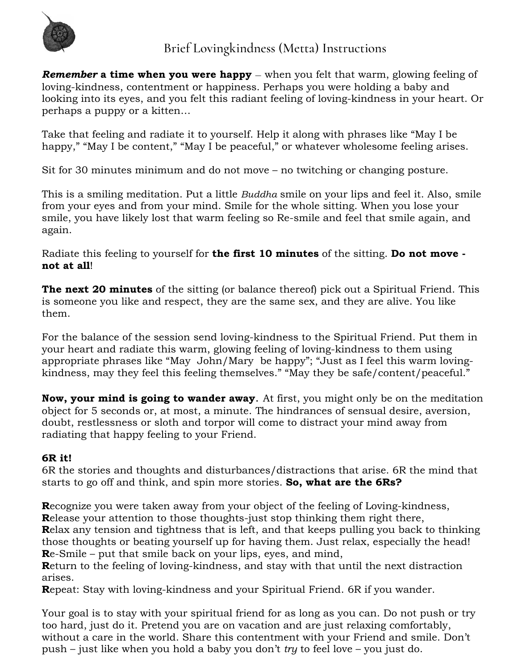

## *Brief Lovingkindness (Metta) Instructions*

*Remember* **a time when you were happy** – when you felt that warm, glowing feeling of loving-kindness, contentment or happiness. Perhaps you were holding a baby and looking into its eyes, and you felt this radiant feeling of loving-kindness in your heart. Or perhaps a puppy or a kitten…

Take that feeling and radiate it to yourself. Help it along with phrases like "May I be happy," "May I be content," "May I be peaceful," or whatever wholesome feeling arises.

Sit for 30 minutes minimum and do not move – no twitching or changing posture.

This is a smiling meditation. Put a little *Buddha* smile on your lips and feel it. Also, smile from your eyes and from your mind. Smile for the whole sitting. When you lose your smile, you have likely lost that warm feeling so Re-smile and feel that smile again, and again.

Radiate this feeling to yourself for **the first 10 minutes** of the sitting. **Do not move not at all**!

**The next 20 minutes** of the sitting (or balance thereof) pick out a Spiritual Friend. This is someone you like and respect, they are the same sex, and they are alive. You like them.

For the balance of the session send loving-kindness to the Spiritual Friend. Put them in your heart and radiate this warm, glowing feeling of loving-kindness to them using appropriate phrases like "May John/Mary be happy"; "Just as I feel this warm lovingkindness, may they feel this feeling themselves." "May they be safe/content/peaceful."

**Now, your mind is going to wander away**. At first, you might only be on the meditation object for 5 seconds or, at most, a minute. The hindrances of sensual desire, aversion, doubt, restlessness or sloth and torpor will come to distract your mind away from radiating that happy feeling to your Friend.

## **6R it!**

6R the stories and thoughts and disturbances/distractions that arise. 6R the mind that starts to go off and think, and spin more stories. **So, what are the 6Rs?**

**R**ecognize you were taken away from your object of the feeling of Loving-kindness,

**R**elease your attention to those thoughts-just stop thinking them right there,

**R**elax any tension and tightness that is left, and that keeps pulling you back to thinking those thoughts or beating yourself up for having them. Just relax, especially the head! **R**e-Smile – put that smile back on your lips, eyes, and mind,

**R**eturn to the feeling of loving-kindness, and stay with that until the next distraction arises.

**R**epeat: Stay with loving-kindness and your Spiritual Friend. 6R if you wander.

Your goal is to stay with your spiritual friend for as long as you can. Do not push or try too hard, just do it. Pretend you are on vacation and are just relaxing comfortably, without a care in the world. Share this contentment with your Friend and smile. Don't push – just like when you hold a baby you don't *try* to feel love – you just do.